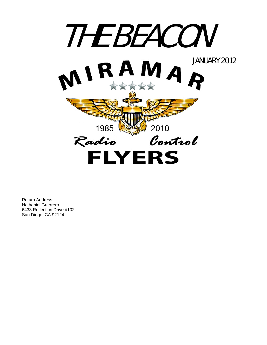

Return Address: Nathaniel Guerrero 6433 Reflection Drive #102 San Diego, CA 92124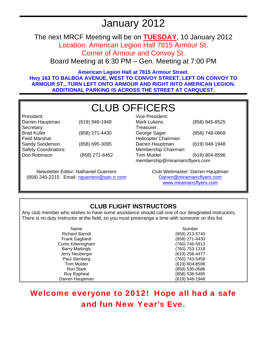# January 2012

The next MRCF Meeting will be on **TUESDAY**, 10 January 2012

Location: American Legion Hall 7815 Armour St. Corner of Armour and Convoy St.

Board Meeting at 6:30 PM – Gen. Meeting at 7:00 PM

**American Legion Hall at 7815 Armour Street. Hwy 163 TO BALBOA AVENUE, WEST TO CONVOY STREET, LEFT ON CONVOY TO ARMOUR ST., TURN LEFT ONTO ARMOUR AND RIGHT INTO AMERICAN LEGION. ADDITIONAL PARKING IS ACROSS THE STREET AT CARQUEST.** 

# CLUB OFFICERS

| President:                  |                |
|-----------------------------|----------------|
| Darren Hauptman             | (619) 948-1948 |
| Secretary:                  |                |
| <b>Brad Kuller</b>          | (858) 271-4430 |
| Field Marshal:              |                |
| Sandy Sanderson             | (858) 695-3095 |
| <b>Safety Coordinators:</b> |                |
| Don Robinson                | (858) 271-6452 |
|                             |                |

Newsletter Editor: Nathaniel Guerrero (858) 240-2215 Email: nguerrero@san.rr.com

| Vice President:                |                |  |
|--------------------------------|----------------|--|
| Mark Lukens                    | (858) 945-8525 |  |
| Treasurer:                     |                |  |
| George Sager                   | (858) 748-0868 |  |
| Helicopter Chairman:           |                |  |
| Darren Hauptman                | (619) 948-1948 |  |
| Membership Chairman:           |                |  |
| <b>Tom Mulder</b>              | (619) 804-8596 |  |
| membership@miramarrcflyers.com |                |  |

Club Webmaster: Darren Hauptman Darren@miramarrcflyers.com www.miramarrcflyers.com

### **CLUB FLIGHT INSTRUCTORS**

Any club member who wishes to have some assistance should call one of our designated instructors. There is no duty instructor at the field, so you must prearrange a time with someone on this list.

| Name                       | <b>Number</b>  |
|----------------------------|----------------|
| <b>Richard Barndt</b>      | (858) 213-5740 |
| Frank Gagliardi            | (858) 271-4430 |
| <b>Curtis Kitteringham</b> | (760) 746-5913 |
| <b>Barry Mattingly</b>     | (760) 753-1318 |
| Jerry Neuberger            | (619) 258-4477 |
| Paul Stenberg              | (760) 743-5458 |
| Tom Mulder                 | (619) 804-8596 |
| <b>Ron Stark</b>           | (858) 530-0586 |
| Roy Rapheal                | (858) 538-5485 |
| Darren Hauptman            | (619) 948-1948 |

## Welcome everyone to 2012! Hope all had a safe and fun New Year's Eve.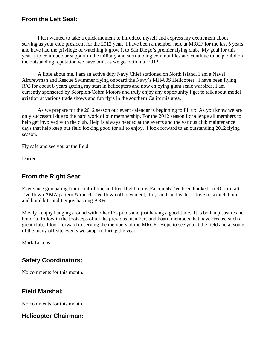#### **From the Left Seat:**

I just wanted to take a quick moment to introduce myself and express my excitement about serving as your club president for the 2012 year. I have been a member here at MRCF for the last 5 years and have had the privilege of watching it grow it to San Diego's premier flying club. My goal for this year is to continue our support to the military and surrounding communities and continue to help build on the outstanding reputation we have built as we go forth into 2012.

A little about me, I am an active duty Navy Chief stationed on North Island. I am a Naval Aircrewman and Rescue Swimmer flying onboard the Navy's MH-60S Helicopter. I have been flying R/C for about 8 years getting my start in helicopters and now enjoying giant scale warbirds. I am currently sponsored by Scorpion/Cobra Motors and truly enjoy any opportunity I get to talk about model aviation at various trade shows and fun fly's in the southern California area.

As we prepare for the 2012 season our event calendar is beginning to fill up. As you know we are only successful due to the hard work of our membership. For the 2012 season I challenge all members to help get involved with the club. Help is always needed at the events and the various club maintenance days that help keep our field looking good for all to enjoy. I look forward to an outstanding 2012 flying season.

Fly safe and see you at the field.

Darren

### **From the Right Seat:**

Ever since graduating from control line and free flight to my Falcon 56 I've been hooked on RC aircraft. I've flown AMA pattern & raced; I've flown off pavement, dirt, sand, and water; I love to scratch build and build kits and I enjoy bashing ARFs.

Mostly I enjoy hanging around with other RC pilots and just having a good time. It is both a pleasure and honor to follow in the footsteps of all the previous members and board members that have created such a great club. I look forward to serving the members of the MRCF. Hope to see you at the field and at some of the many off-site events we support during the year.

Mark Lukens

### **Safety Coordinators:**

No comments for this month.

#### **Field Marshal:**

No comments for this month.

### **Helicopter Chairman:**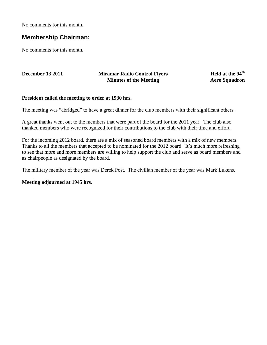No comments for this month.

#### **Membership Chairman:**

No comments for this month.

#### **December 13 2011 Miramar Radio Control Flyers Minutes of the Meeting**

**Held at the 94th Aero Squadron**

#### **President called the meeting to order at 1930 hrs.**

The meeting was "abridged" to have a great dinner for the club members with their significant others.

A great thanks went out to the members that were part of the board for the 2011 year. The club also thanked members who were recognized for their contributions to the club with their time and effort.

For the incoming 2012 board, there are a mix of seasoned board members with a mix of new members. Thanks to all the members that accepted to be nominated for the 2012 board. It's much more refreshing to see that more and more members are willing to help support the club and serve as board members and as chairpeople as designated by the board.

The military member of the year was Derek Post. The civilian member of the year was Mark Lukens.

#### **Meeting adjourned at 1945 hrs.**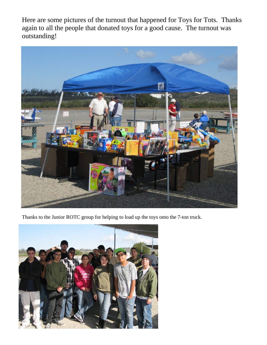Here are some pictures of the turnout that happened for Toys for Tots. Thanks again to all the people that donated toys for a good cause. The turnout was outstanding!



Thanks to the Junior ROTC group for helping to load up the toys onto the 7-ton truck.

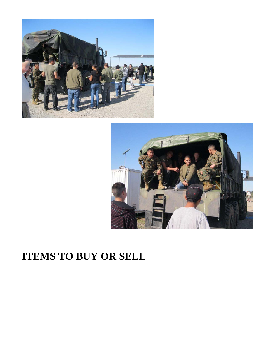



# **ITEMS TO BUY OR SELL**